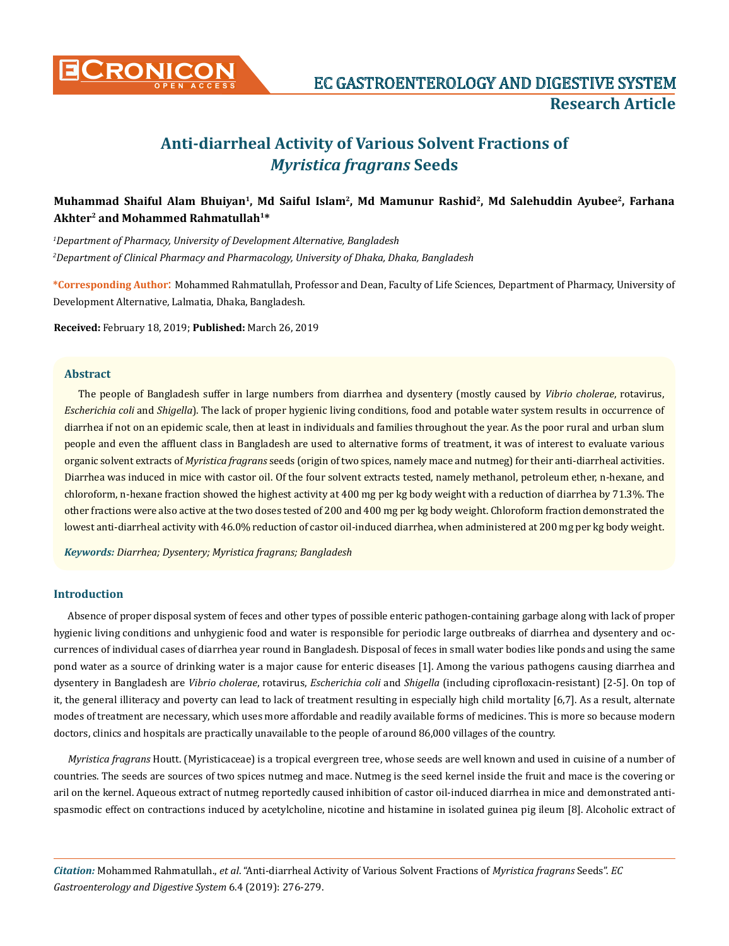

# **Anti-diarrheal Activity of Various Solvent Fractions of**  *Myristica fragrans* **Seeds**

# **Muhammad Shaiful Alam Bhuiyan1, Md Saiful Islam2, Md Mamunur Rashid2, Md Salehuddin Ayubee2, Farhana Akhter2 and Mohammed Rahmatullah1\***

*1 Department of Pharmacy, University of Development Alternative, Bangladesh 2 Department of Clinical Pharmacy and Pharmacology, University of Dhaka, Dhaka, Bangladesh*

**\*Corresponding Author**: Mohammed Rahmatullah, Professor and Dean, Faculty of Life Sciences, Department of Pharmacy, University of Development Alternative, Lalmatia, Dhaka, Bangladesh.

**Received:** February 18, 2019; **Published:** March 26, 2019

#### **Abstract**

The people of Bangladesh suffer in large numbers from diarrhea and dysentery (mostly caused by *Vibrio cholerae*, rotavirus, *Escherichia coli* and *Shigella*). The lack of proper hygienic living conditions, food and potable water system results in occurrence of diarrhea if not on an epidemic scale, then at least in individuals and families throughout the year. As the poor rural and urban slum people and even the affluent class in Bangladesh are used to alternative forms of treatment, it was of interest to evaluate various organic solvent extracts of *Myristica fragrans* seeds (origin of two spices, namely mace and nutmeg) for their anti-diarrheal activities. Diarrhea was induced in mice with castor oil. Of the four solvent extracts tested, namely methanol, petroleum ether, n-hexane, and chloroform, n-hexane fraction showed the highest activity at 400 mg per kg body weight with a reduction of diarrhea by 71.3%. The other fractions were also active at the two doses tested of 200 and 400 mg per kg body weight. Chloroform fraction demonstrated the lowest anti-diarrheal activity with 46.0% reduction of castor oil-induced diarrhea, when administered at 200 mg per kg body weight.

*Keywords: Diarrhea; Dysentery; Myristica fragrans; Bangladesh*

## **Introduction**

Absence of proper disposal system of feces and other types of possible enteric pathogen-containing garbage along with lack of proper hygienic living conditions and unhygienic food and water is responsible for periodic large outbreaks of diarrhea and dysentery and occurrences of individual cases of diarrhea year round in Bangladesh. Disposal of feces in small water bodies like ponds and using the same pond water as a source of drinking water is a major cause for enteric diseases [1]. Among the various pathogens causing diarrhea and dysentery in Bangladesh are *Vibrio cholerae*, rotavirus, *Escherichia coli* and *Shigella* (including ciprofloxacin-resistant) [2-5]. On top of it, the general illiteracy and poverty can lead to lack of treatment resulting in especially high child mortality [6,7]. As a result, alternate modes of treatment are necessary, which uses more affordable and readily available forms of medicines. This is more so because modern doctors, clinics and hospitals are practically unavailable to the people of around 86,000 villages of the country.

*Myristica fragrans* Houtt. (Myristicaceae) is a tropical evergreen tree, whose seeds are well known and used in cuisine of a number of countries. The seeds are sources of two spices nutmeg and mace. Nutmeg is the seed kernel inside the fruit and mace is the covering or aril on the kernel. Aqueous extract of nutmeg reportedly caused inhibition of castor oil-induced diarrhea in mice and demonstrated antispasmodic effect on contractions induced by acetylcholine, nicotine and histamine in isolated guinea pig ileum [8]. Alcoholic extract of

*Citation:* Mohammed Rahmatullah., *et al*. "Anti-diarrheal Activity of Various Solvent Fractions of *Myristica fragrans* Seeds". *EC Gastroenterology and Digestive System* 6.4 (2019): 276-279.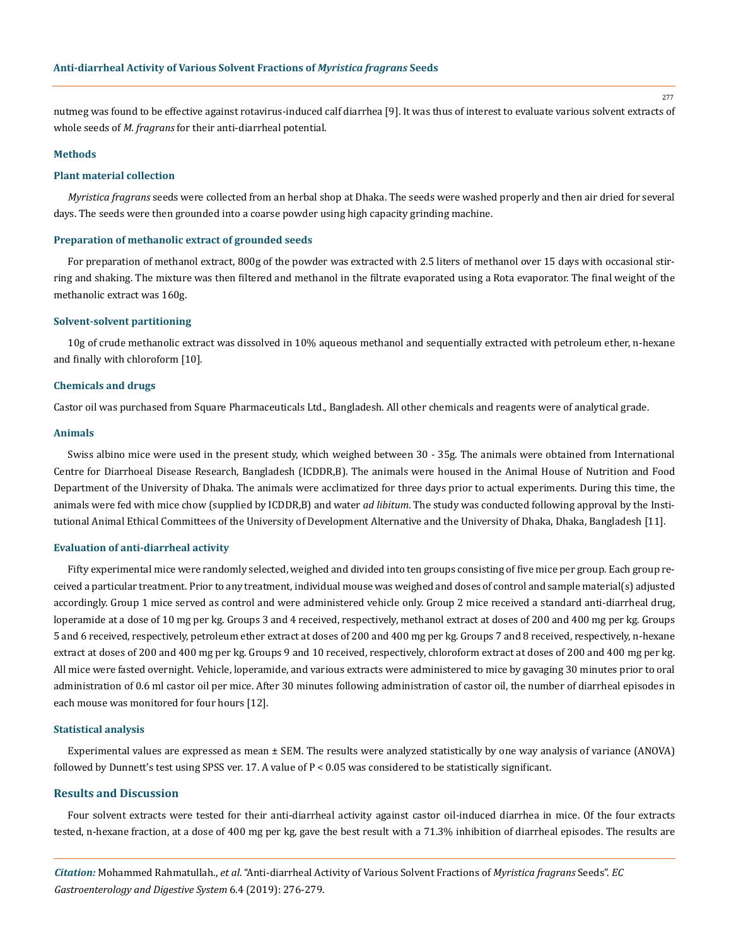nutmeg was found to be effective against rotavirus-induced calf diarrhea [9]. It was thus of interest to evaluate various solvent extracts of whole seeds of *M. fragrans* for their anti-diarrheal potential.

#### **Methods**

#### **Plant material collection**

*Myristica fragrans* seeds were collected from an herbal shop at Dhaka. The seeds were washed properly and then air dried for several days. The seeds were then grounded into a coarse powder using high capacity grinding machine.

## **Preparation of methanolic extract of grounded seeds**

For preparation of methanol extract, 800g of the powder was extracted with 2.5 liters of methanol over 15 days with occasional stirring and shaking. The mixture was then filtered and methanol in the filtrate evaporated using a Rota evaporator. The final weight of the methanolic extract was 160g.

#### **Solvent-solvent partitioning**

10g of crude methanolic extract was dissolved in 10% aqueous methanol and sequentially extracted with petroleum ether, n-hexane and finally with chloroform [10].

### **Chemicals and drugs**

Castor oil was purchased from Square Pharmaceuticals Ltd., Bangladesh. All other chemicals and reagents were of analytical grade.

## **Animals**

Swiss albino mice were used in the present study, which weighed between 30 - 35g. The animals were obtained from International Centre for Diarrhoeal Disease Research, Bangladesh (ICDDR,B). The animals were housed in the Animal House of Nutrition and Food Department of the University of Dhaka. The animals were acclimatized for three days prior to actual experiments. During this time, the animals were fed with mice chow (supplied by ICDDR,B) and water *ad libitum*. The study was conducted following approval by the Institutional Animal Ethical Committees of the University of Development Alternative and the University of Dhaka, Dhaka, Bangladesh [11].

#### **Evaluation of anti-diarrheal activity**

Fifty experimental mice were randomly selected, weighed and divided into ten groups consisting of five mice per group. Each group received a particular treatment. Prior to any treatment, individual mouse was weighed and doses of control and sample material(s) adjusted accordingly. Group 1 mice served as control and were administered vehicle only. Group 2 mice received a standard anti-diarrheal drug, loperamide at a dose of 10 mg per kg. Groups 3 and 4 received, respectively, methanol extract at doses of 200 and 400 mg per kg. Groups 5 and 6 received, respectively, petroleum ether extract at doses of 200 and 400 mg per kg. Groups 7 and 8 received, respectively, n-hexane extract at doses of 200 and 400 mg per kg. Groups 9 and 10 received, respectively, chloroform extract at doses of 200 and 400 mg per kg. All mice were fasted overnight. Vehicle, loperamide, and various extracts were administered to mice by gavaging 30 minutes prior to oral administration of 0.6 ml castor oil per mice. After 30 minutes following administration of castor oil, the number of diarrheal episodes in each mouse was monitored for four hours [12].

## **Statistical analysis**

Experimental values are expressed as mean ± SEM. The results were analyzed statistically by one way analysis of variance (ANOVA) followed by Dunnett's test using SPSS ver. 17. A value of P < 0.05 was considered to be statistically significant.

### **Results and Discussion**

Four solvent extracts were tested for their anti-diarrheal activity against castor oil-induced diarrhea in mice. Of the four extracts tested, n-hexane fraction, at a dose of 400 mg per kg, gave the best result with a 71.3% inhibition of diarrheal episodes. The results are

*Citation:* Mohammed Rahmatullah., *et al*. "Anti-diarrheal Activity of Various Solvent Fractions of *Myristica fragrans* Seeds". *EC Gastroenterology and Digestive System* 6.4 (2019): 276-279.

277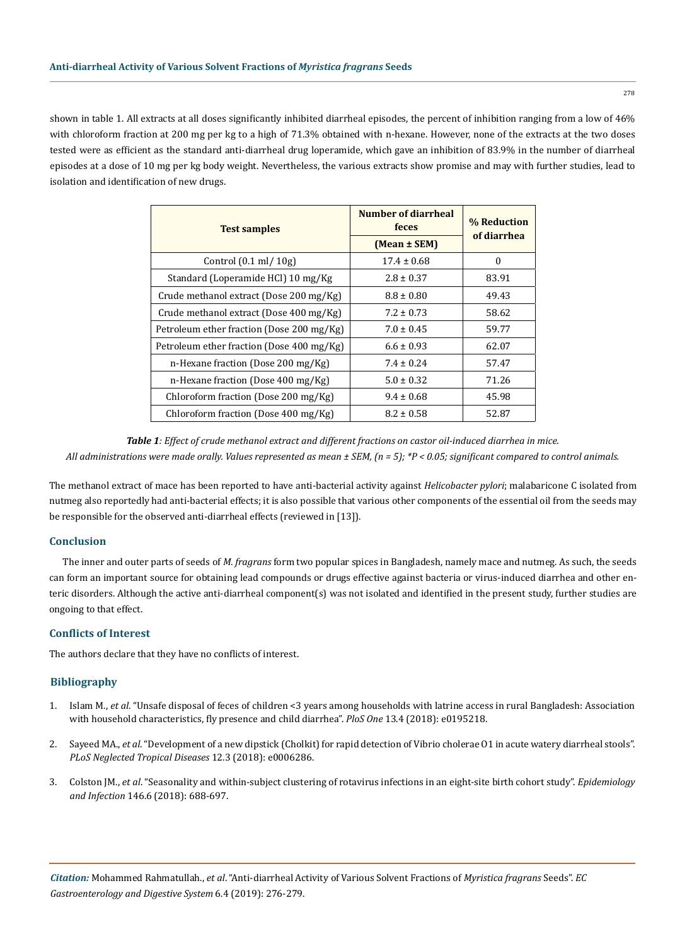shown in table 1. All extracts at all doses significantly inhibited diarrheal episodes, the percent of inhibition ranging from a low of 46% with chloroform fraction at 200 mg per kg to a high of 71.3% obtained with n-hexane. However, none of the extracts at the two doses tested were as efficient as the standard anti-diarrheal drug loperamide, which gave an inhibition of 83.9% in the number of diarrheal episodes at a dose of 10 mg per kg body weight. Nevertheless, the various extracts show promise and may with further studies, lead to isolation and identification of new drugs.

| <b>Test samples</b>                       | Number of diarrheal<br>feces<br>(Mean ± SEM) | % Reduction<br>of diarrhea |
|-------------------------------------------|----------------------------------------------|----------------------------|
| Control $(0.1 \text{ ml} / 10 \text{ g})$ | $17.4 \pm 0.68$                              | $\Omega$                   |
| Standard (Loperamide HCl) 10 mg/Kg        | $2.8 \pm 0.37$                               | 83.91                      |
| Crude methanol extract (Dose 200 mg/Kg)   | $8.8 \pm 0.80$                               | 49.43                      |
| Crude methanol extract (Dose 400 mg/Kg)   | $7.2 \pm 0.73$                               | 58.62                      |
| Petroleum ether fraction (Dose 200 mg/Kg) | $7.0 \pm 0.45$                               | 59.77                      |
| Petroleum ether fraction (Dose 400 mg/Kg) | $6.6 \pm 0.93$                               | 62.07                      |
| n-Hexane fraction (Dose 200 mg/Kg)        | $7.4 \pm 0.24$                               | 57.47                      |
| n-Hexane fraction (Dose 400 mg/Kg)        | $5.0 \pm 0.32$                               | 71.26                      |
| Chloroform fraction (Dose 200 mg/Kg)      | $9.4 \pm 0.68$                               | 45.98                      |
| Chloroform fraction (Dose 400 mg/Kg)      | $8.2 \pm 0.58$                               | 52.87                      |

*Table 1: Effect of crude methanol extract and different fractions on castor oil-induced diarrhea in mice. All administrations were made orally. Values represented as mean ± SEM, (n = 5); \*P < 0.05; significant compared to control animals.*

The methanol extract of mace has been reported to have anti-bacterial activity against *Helicobacter pylori*; malabaricone C isolated from nutmeg also reportedly had anti-bacterial effects; it is also possible that various other components of the essential oil from the seeds may be responsible for the observed anti-diarrheal effects (reviewed in [13]).

# **Conclusion**

The inner and outer parts of seeds of *M. fragrans* form two popular spices in Bangladesh, namely mace and nutmeg. As such, the seeds can form an important source for obtaining lead compounds or drugs effective against bacteria or virus-induced diarrhea and other enteric disorders. Although the active anti-diarrheal component(s) was not isolated and identified in the present study, further studies are ongoing to that effect.

# **Conflicts of Interest**

The authors declare that they have no conflicts of interest.

# **Bibliography**

- 1. Islam M., *et al*[. "Unsafe disposal of feces of children <3 years among households with latrine access in rural Bangladesh: Association](https://www.ncbi.nlm.nih.gov/pubmed/29621289)  [with household characteristics, fly presence and child diarrhea".](https://www.ncbi.nlm.nih.gov/pubmed/29621289) *PloS One* 13.4 (2018): e0195218.
- 2. Sayeed MA., *et al*[. "Development of a new dipstick \(Cholkit\) for rapid detection of Vibrio cholerae O1 in acute watery diarrheal stools".](https://www.ncbi.nlm.nih.gov/pubmed/29538377) *[PLoS Neglected Tropical Diseases](https://www.ncbi.nlm.nih.gov/pubmed/29538377)* 12.3 (2018): e0006286.
- 3. Colston JM., *et al*[. "Seasonality and within-subject clustering of rotavirus infections in an eight-site birth cohort study".](https://www.ncbi.nlm.nih.gov/pubmed/29534766) *Epidemiology and Infection* [146.6 \(2018\): 688-697.](https://www.ncbi.nlm.nih.gov/pubmed/29534766)